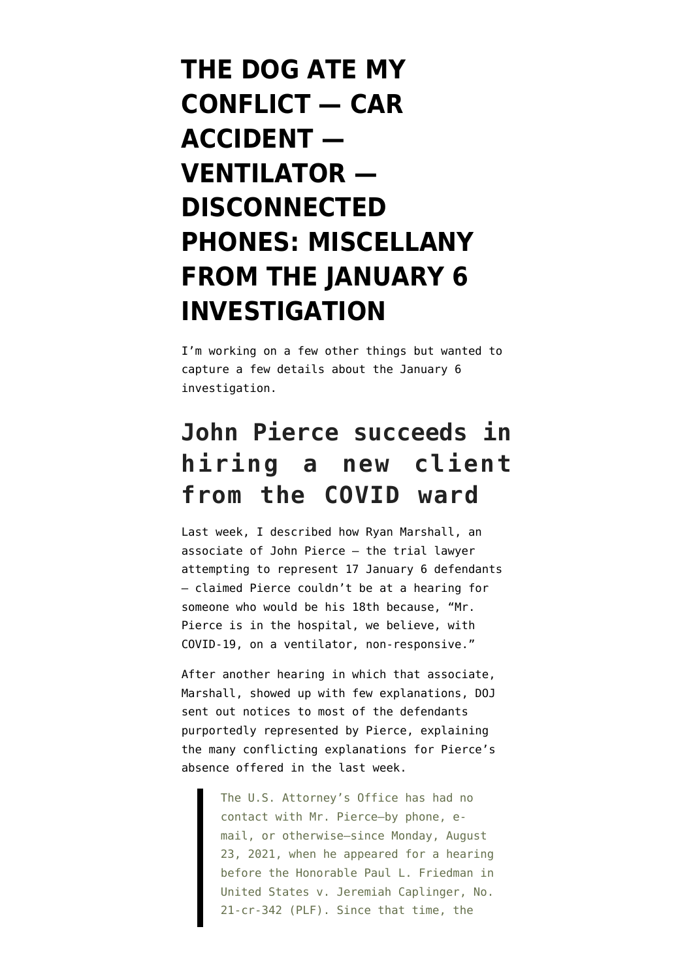# **[THE DOG ATE MY](https://www.emptywheel.net/2021/08/31/the-dog-ate-my-conflict-car-accident-ventilator-disconnected-phones-miscellany-from-the-january-6-investigation/) [CONFLICT — CAR](https://www.emptywheel.net/2021/08/31/the-dog-ate-my-conflict-car-accident-ventilator-disconnected-phones-miscellany-from-the-january-6-investigation/) [ACCIDENT —](https://www.emptywheel.net/2021/08/31/the-dog-ate-my-conflict-car-accident-ventilator-disconnected-phones-miscellany-from-the-january-6-investigation/) [VENTILATOR —](https://www.emptywheel.net/2021/08/31/the-dog-ate-my-conflict-car-accident-ventilator-disconnected-phones-miscellany-from-the-january-6-investigation/) [DISCONNECTED](https://www.emptywheel.net/2021/08/31/the-dog-ate-my-conflict-car-accident-ventilator-disconnected-phones-miscellany-from-the-january-6-investigation/) [PHONES: MISCELLANY](https://www.emptywheel.net/2021/08/31/the-dog-ate-my-conflict-car-accident-ventilator-disconnected-phones-miscellany-from-the-january-6-investigation/) [FROM THE JANUARY 6](https://www.emptywheel.net/2021/08/31/the-dog-ate-my-conflict-car-accident-ventilator-disconnected-phones-miscellany-from-the-january-6-investigation/) [INVESTIGATION](https://www.emptywheel.net/2021/08/31/the-dog-ate-my-conflict-car-accident-ventilator-disconnected-phones-miscellany-from-the-january-6-investigation/)**

I'm working on a few other things but wanted to capture a few details about the January 6 investigation.

## **John Pierce succeeds in hiring a new client from the COVID ward**

Last week, I [described](https://www.emptywheel.net/2021/08/25/john-pierce-tries-to-hire-his-18th-january-6-defendant-while-on-a-ventilator-with-covid-19/) how Ryan Marshall, an associate of John Pierce — the trial lawyer attempting to represent 17 January 6 defendants — claimed Pierce couldn't be at a hearing for someone who would be his 18th because, "Mr. Pierce is in the hospital, we believe, with COVID-19, on a ventilator, non-responsive."

After another hearing in which that associate, Marshall, showed up with few explanations, DOJ sent out [notices](https://www.documentcloud.org/documents/21051469-210830-pierce-notice) to most of the defendants purportedly represented by Pierce, explaining the many conflicting explanations for Pierce's absence offered in the last week.

> The U.S. Attorney's Office has had no contact with Mr. Pierce—by phone, email, or otherwise—since Monday, August 23, 2021, when he appeared for a hearing before the Honorable Paul L. Friedman in United States v. Jeremiah Caplinger, No. 21-cr-342 (PLF). Since that time, the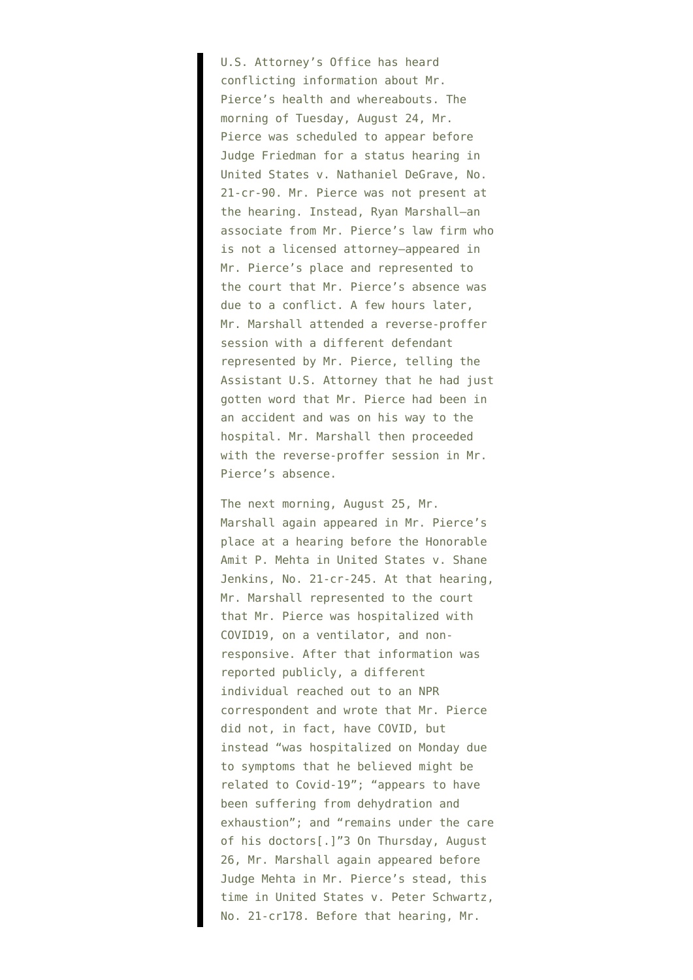U.S. Attorney's Office has heard conflicting information about Mr. Pierce's health and whereabouts. The morning of Tuesday, August 24, Mr. Pierce was scheduled to appear before Judge Friedman for a status hearing in United States v. Nathaniel DeGrave, No. 21-cr-90. Mr. Pierce was not present at the hearing. Instead, Ryan Marshall—an associate from Mr. Pierce's law firm who is not a licensed attorney—appeared in Mr. Pierce's place and represented to the court that Mr. Pierce's absence was due to a conflict. A few hours later, Mr. Marshall attended a reverse-proffer session with a different defendant represented by Mr. Pierce, telling the Assistant U.S. Attorney that he had just gotten word that Mr. Pierce had been in an accident and was on his way to the hospital. Mr. Marshall then proceeded with the reverse-proffer session in Mr. Pierce's absence.

The next morning, August 25, Mr. Marshall again appeared in Mr. Pierce's place at a hearing before the Honorable Amit P. Mehta in United States v. Shane Jenkins, No. 21-cr-245. At that hearing, Mr. Marshall represented to the court that Mr. Pierce was hospitalized with COVID19, on a ventilator, and nonresponsive. After that information was reported publicly, a different individual reached out to an NPR correspondent and wrote that Mr. Pierce did not, in fact, have COVID, but instead "was hospitalized on Monday due to symptoms that he believed might be related to Covid-19"; "appears to have been suffering from dehydration and exhaustion"; and "remains under the care of his doctors[.]"3 On Thursday, August 26, Mr. Marshall again appeared before Judge Mehta in Mr. Pierce's stead, this time in United States v. Peter Schwartz, No. 21-cr178. Before that hearing, Mr.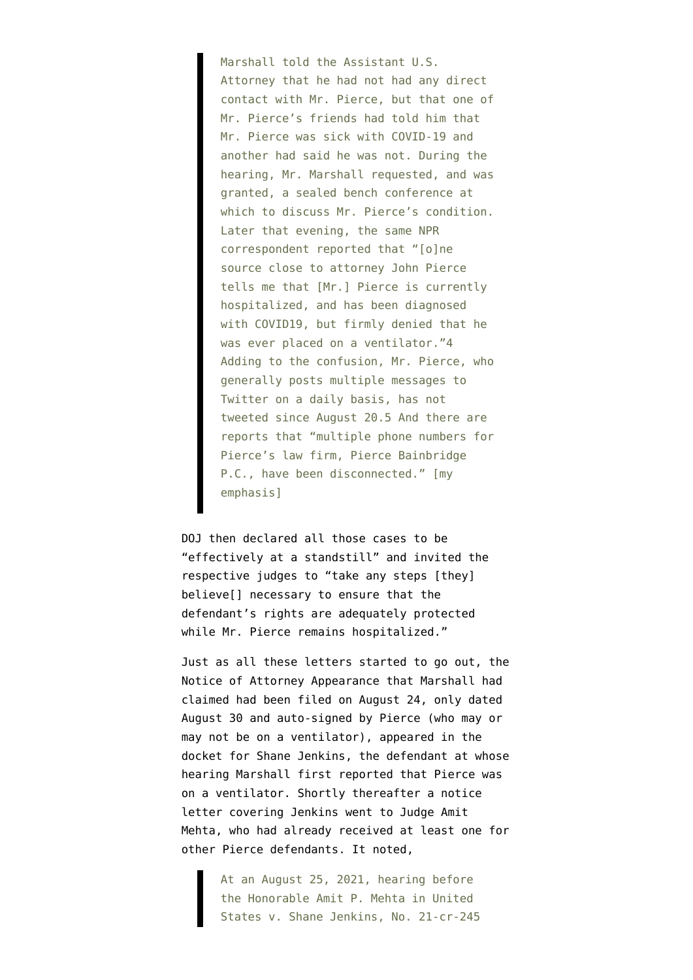Marshall told the Assistant U.S. Attorney that he had not had any direct contact with Mr. Pierce, but that one of Mr. Pierce's friends had told him that Mr. Pierce was sick with COVID-19 and another had said he was not. During the hearing, Mr. Marshall requested, and was granted, a sealed bench conference at which to discuss Mr. Pierce's condition. Later that evening, the same NPR correspondent reported that "[o]ne source close to attorney John Pierce tells me that [Mr.] Pierce is currently hospitalized, and has been diagnosed with COVID19, but firmly denied that he was ever placed on a ventilator."4 Adding to the confusion, Mr. Pierce, who generally posts multiple messages to Twitter on a daily basis, has not tweeted since August 20.5 And there are reports that "multiple phone numbers for Pierce's law firm, Pierce Bainbridge P.C., have been disconnected." [my emphasis]

DOJ then declared all those cases to be "effectively at a standstill" and invited the respective judges to "take any steps [they] believe[] necessary to ensure that the defendant's rights are adequately protected while Mr. Pierce remains hospitalized."

Just as all these letters started to go out, the Notice of Attorney Appearance that Marshall had claimed had been filed on August 24, only dated August 30 and auto-signed by Pierce (who may or may not be on a ventilator), [appeared in the](https://storage.courtlistener.com/recap/gov.uscourts.dcd.229273/gov.uscourts.dcd.229273.22.0_1.pdf) [docket](https://storage.courtlistener.com/recap/gov.uscourts.dcd.229273/gov.uscourts.dcd.229273.22.0_1.pdf) for Shane Jenkins, the defendant at whose hearing Marshall first reported that Pierce was on a ventilator. Shortly thereafter a [notice](https://storage.courtlistener.com/recap/gov.uscourts.dcd.229273/gov.uscourts.dcd.229273.23.0.pdf) [letter](https://storage.courtlistener.com/recap/gov.uscourts.dcd.229273/gov.uscourts.dcd.229273.23.0.pdf) covering Jenkins went to Judge Amit Mehta, who had already received at least one for other Pierce defendants. It noted,

> At an August 25, 2021, hearing before the Honorable Amit P. Mehta in United States v. Shane Jenkins, No. 21-cr-245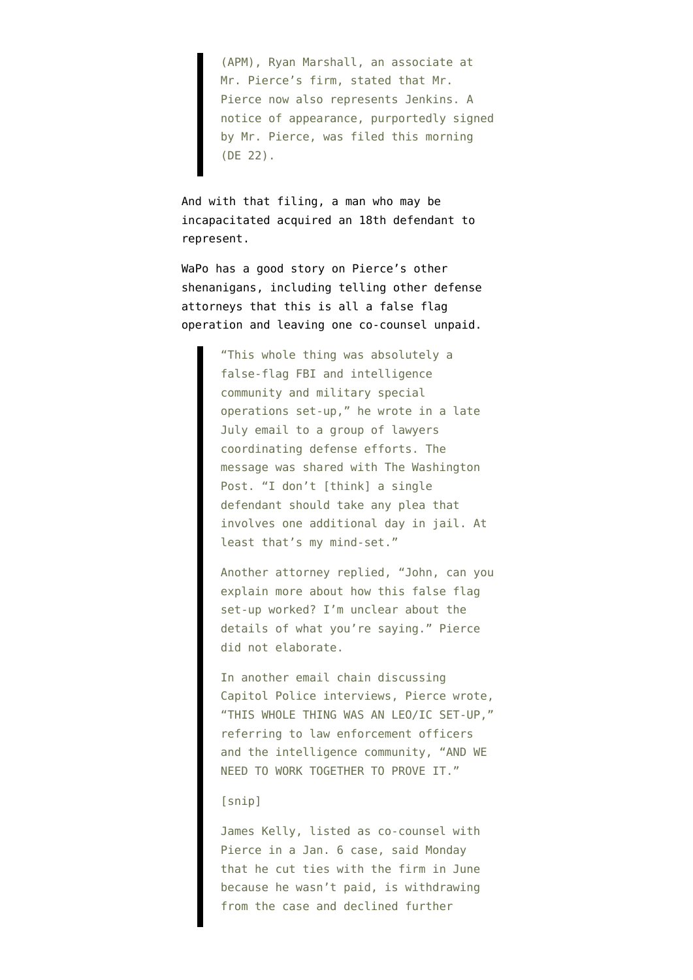(APM), Ryan Marshall, an associate at Mr. Pierce's firm, stated that Mr. Pierce now also represents Jenkins. A notice of appearance, purportedly signed by Mr. Pierce, was filed this morning (DE 22).

And with that filing, a man who may be incapacitated acquired an 18th defendant to represent.

WaPo has [a good story](https://www.washingtonpost.com/local/legal-issues/capitol-riot-lawyer-pierce-covid-disappearance/2021/08/30/d7b93eca-0054-11ec-ba7e-2cf966e88e93_story.html) on Pierce's other shenanigans, including telling other defense attorneys that this is all a false flag operation and leaving one co-counsel unpaid.

> "This whole thing was absolutely a false-flag FBI and intelligence community and military special operations set-up," he wrote in a late July email to a group of lawyers coordinating defense efforts. The message was shared with The Washington Post. "I don't [think] a single defendant should take any plea that involves one additional day in jail. At least that's my mind-set."

Another attorney replied, "John, can you explain more about how this false flag set-up worked? I'm unclear about the details of what you're saying." Pierce did not elaborate.

In another email chain discussing Capitol Police interviews, Pierce wrote, "THIS WHOLE THING WAS AN LEO/IC SET-UP," referring to law enforcement officers and the intelligence community, "AND WE NEED TO WORK TOGETHER TO PROVE IT."

#### [snip]

James Kelly, listed as co-counsel with Pierce in a Jan. 6 case, said Monday that he cut ties with the firm in June because he wasn't paid, is withdrawing from the case and declined further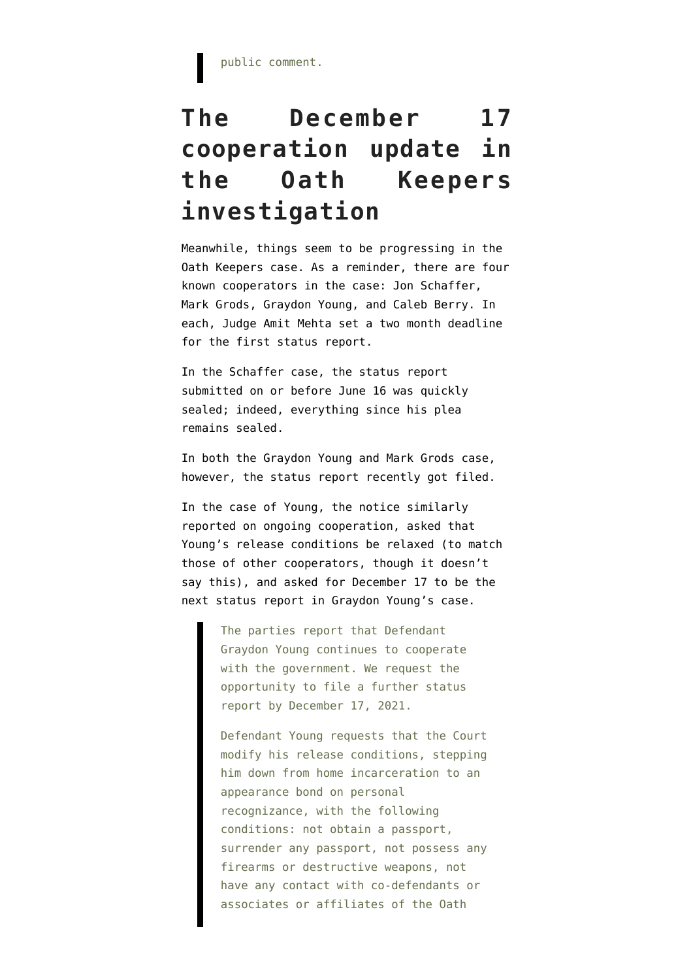## **The December 17 cooperation update in the Oath Keepers investigation**

Meanwhile, things seem to be progressing in the Oath Keepers case. As a reminder, there are four known cooperators in the case: [Jon Schaffer](https://storage.courtlistener.com/recap/gov.uscourts.dcd.230166/gov.uscourts.dcd.230166.30.0_2.pdf), [Mark Grods,](https://storage.courtlistener.com/recap/gov.uscourts.dcd.232837/gov.uscourts.dcd.232837.8.0.pdf) [Graydon Young,](https://www.documentcloud.org/documents/20971355-210623-young-statement-of-offense) and [Caleb Berry](https://storage.courtlistener.com/recap/gov.uscourts.dcd.233239/gov.uscourts.dcd.233239.8.0.pdf). In each, Judge Amit Mehta set a two month deadline for the first status report.

In the Schaffer case, the status report submitted on or before June 16 was quickly sealed; indeed, [everything since his plea](https://www.courtlistener.com/docket/59827926/united-states-v-schaffer/) [remains sealed](https://www.courtlistener.com/docket/59827926/united-states-v-schaffer/).

In both the Graydon Young and Mark Grods case, however, the status report recently got filed.

In the case of Young, the [notice](https://storage.courtlistener.com/recap/gov.uscourts.dcd.227814/gov.uscourts.dcd.227814.361.0_1.pdf) similarly reported on ongoing cooperation, asked that Young's release conditions be relaxed (to match those of other cooperators, though it doesn't say this), and asked for December 17 to be the next status report in Graydon Young's case.

> The parties report that Defendant Graydon Young continues to cooperate with the government. We request the opportunity to file a further status report by December 17, 2021.

Defendant Young requests that the Court modify his release conditions, stepping him down from home incarceration to an appearance bond on personal recognizance, with the following conditions: not obtain a passport, surrender any passport, not possess any firearms or destructive weapons, not have any contact with co-defendants or associates or affiliates of the Oath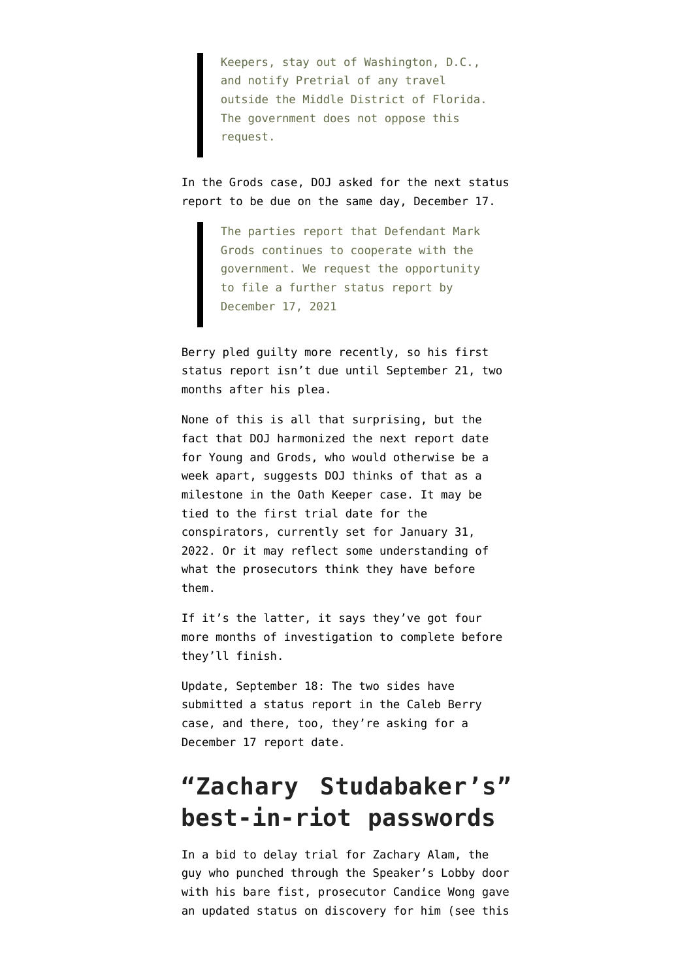Keepers, stay out of Washington, D.C., and notify Pretrial of any travel outside the Middle District of Florida. The government does not oppose this request.

In the Grods case, DOJ [asked for](https://storage.courtlistener.com/recap/gov.uscourts.dcd.232837/gov.uscourts.dcd.232837.16.0.pdf) the next status report to be due on the same day, December 17.

> The parties report that Defendant Mark Grods continues to cooperate with the government. We request the opportunity to file a further status report by December 17, 2021

Berry [pled guilty more recently,](https://www.courtlistener.com/docket/60070247/united-states-v-berry/) so his first status report isn't due until September 21, two months after his plea.

None of this is all that surprising, but the fact that DOJ harmonized the next report date for Young and Grods, who would otherwise be a week apart, suggests DOJ thinks of that as a milestone in the Oath Keeper case. It may be tied to the first trial date for the conspirators, currently set for January 31, 2022. Or it may reflect some understanding of what the prosecutors think they have before them.

If it's the latter, it says they've got four more months of investigation to complete before they'll finish.

Update, September 18: The two sides have [submitted a status report](https://storage.courtlistener.com/recap/gov.uscourts.dcd.233239/gov.uscourts.dcd.233239.13.0.pdf) in the Caleb Berry case, and there, too, they're asking for a December 17 report date.

### **"Zachary Studabaker's" best-in-riot passwords**

In a [bid](https://storage.courtlistener.com/recap/gov.uscourts.dcd.228477/gov.uscourts.dcd.228477.26.0.pdf) to delay trial for Zachary Alam, the guy who punched through the Speaker's Lobby door with his bare fist, prosecutor Candice Wong gave an updated status on discovery for him (see [this](https://www.emptywheel.net/2021/07/08/blind-spots-in-the-ashli-babbitt-panopticon/)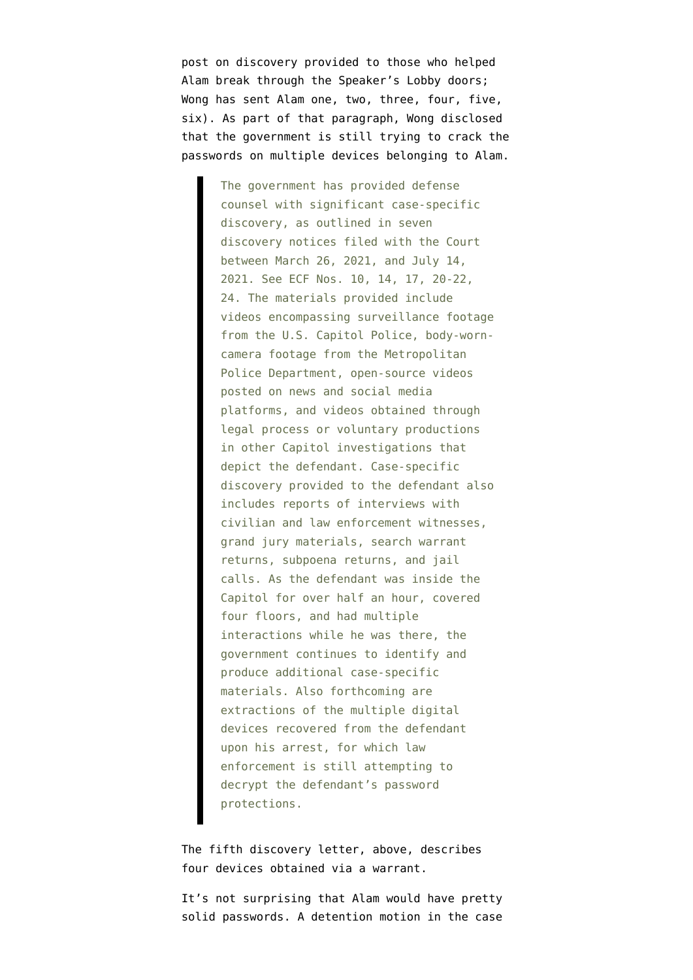[post](https://www.emptywheel.net/2021/07/08/blind-spots-in-the-ashli-babbitt-panopticon/) on discovery provided to those who helped Alam break through the Speaker's Lobby doors; Wong has sent Alam [one](https://storage.courtlistener.com/recap/gov.uscourts.dcd.228477/gov.uscourts.dcd.228477.10.1.pdf), [two](https://storage.courtlistener.com/recap/gov.uscourts.dcd.228477/gov.uscourts.dcd.228477.14.1.pdf), [three](https://storage.courtlistener.com/recap/gov.uscourts.dcd.228477/gov.uscourts.dcd.228477.20.1.pdf), [four,](https://storage.courtlistener.com/recap/gov.uscourts.dcd.228477/gov.uscourts.dcd.228477.21.1.pdf) [five,](https://storage.courtlistener.com/recap/gov.uscourts.dcd.228477/gov.uscourts.dcd.228477.22.1.pdf) [six\)](https://storage.courtlistener.com/recap/gov.uscourts.dcd.228477/gov.uscourts.dcd.228477.24.1.pdf). As part of that paragraph, Wong disclosed that the government is still trying to crack the passwords on multiple devices belonging to Alam.

> The government has provided defense counsel with significant case-specific discovery, as outlined in seven discovery notices filed with the Court between March 26, 2021, and July 14, 2021. See ECF Nos. 10, 14, 17, 20-22, 24. The materials provided include videos encompassing surveillance footage from the U.S. Capitol Police, body-worncamera footage from the Metropolitan Police Department, open-source videos posted on news and social media platforms, and videos obtained through legal process or voluntary productions in other Capitol investigations that depict the defendant. Case-specific discovery provided to the defendant also includes reports of interviews with civilian and law enforcement witnesses, grand jury materials, search warrant returns, subpoena returns, and jail calls. As the defendant was inside the Capitol for over half an hour, covered four floors, and had multiple interactions while he was there, the government continues to identify and produce additional case-specific materials. Also forthcoming are extractions of the multiple digital devices recovered from the defendant upon his arrest, for which law enforcement is still attempting to decrypt the defendant's password protections.

The fifth discovery letter, above, describes four devices obtained via a warrant.

It's not surprising that Alam would have pretty solid passwords. A [detention motion](https://storage.courtlistener.com/recap/gov.uscourts.dcd.228477/gov.uscourts.dcd.228477.19.0.pdf) in the case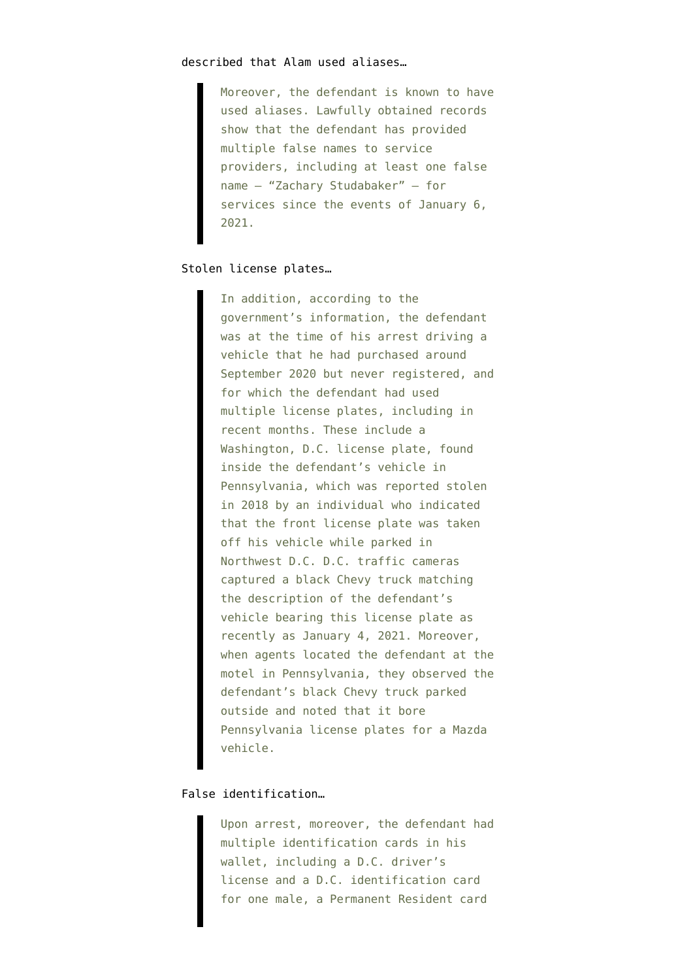Moreover, the defendant is known to have used aliases. Lawfully obtained records show that the defendant has provided multiple false names to service providers, including at least one false name – "Zachary Studabaker" – for services since the events of January 6, 2021.

#### Stolen license plates…

In addition, according to the government's information, the defendant was at the time of his arrest driving a vehicle that he had purchased around September 2020 but never registered, and for which the defendant had used multiple license plates, including in recent months. These include a Washington, D.C. license plate, found inside the defendant's vehicle in Pennsylvania, which was reported stolen in 2018 by an individual who indicated that the front license plate was taken off his vehicle while parked in Northwest D.C. D.C. traffic cameras captured a black Chevy truck matching the description of the defendant's vehicle bearing this license plate as recently as January 4, 2021. Moreover, when agents located the defendant at the motel in Pennsylvania, they observed the defendant's black Chevy truck parked outside and noted that it bore Pennsylvania license plates for a Mazda vehicle.

#### False identification…

Upon arrest, moreover, the defendant had multiple identification cards in his wallet, including a D.C. driver's license and a D.C. identification card for one male, a Permanent Resident card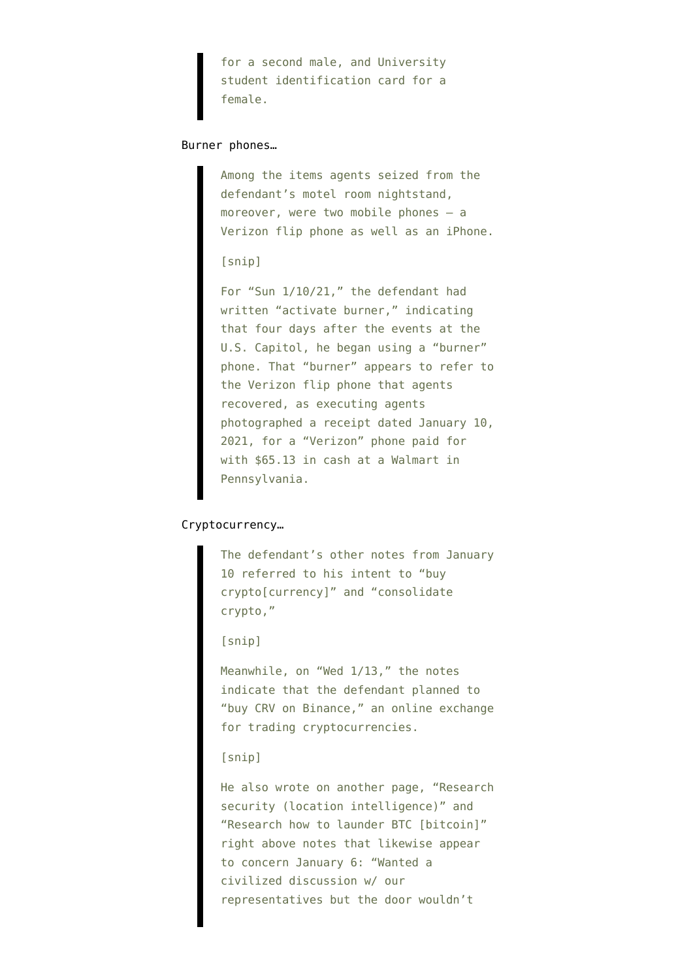for a second male, and University student identification card for a female.

#### Burner phones…

Among the items agents seized from the defendant's motel room nightstand, moreover, were two mobile phones – a Verizon flip phone as well as an iPhone.

#### [snip]

For "Sun 1/10/21," the defendant had written "activate burner," indicating that four days after the events at the U.S. Capitol, he began using a "burner" phone. That "burner" appears to refer to the Verizon flip phone that agents recovered, as executing agents photographed a receipt dated January 10, 2021, for a "Verizon" phone paid for with \$65.13 in cash at a Walmart in Pennsylvania.

#### Cryptocurrency…

The defendant's other notes from January 10 referred to his intent to "buy crypto[currency]" and "consolidate crypto,"

[snip]

Meanwhile, on "Wed 1/13," the notes indicate that the defendant planned to "buy CRV on Binance," an online exchange for trading cryptocurrencies.

#### [snip]

He also wrote on another page, "Research security (location intelligence)" and "Research how to launder BTC [bitcoin]" right above notes that likewise appear to concern January 6: "Wanted a civilized discussion w/ our representatives but the door wouldn't